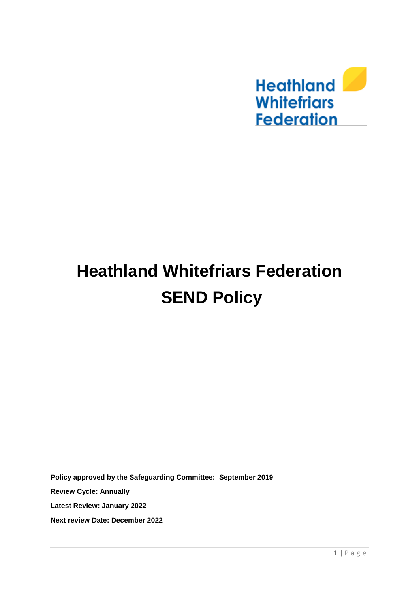

# **Heathland Whitefriars Federation SEND Policy**

**Policy approved by the Safeguarding Committee: September 2019 Review Cycle: Annually Latest Review: January 2022 Next review Date: December 2022**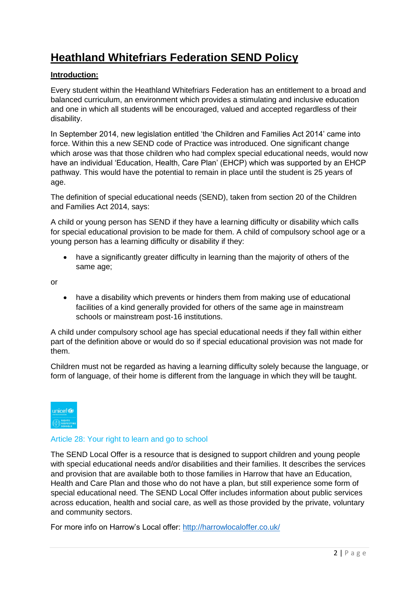# **Heathland Whitefriars Federation SEND Policy**

#### **Introduction:**

Every student within the Heathland Whitefriars Federation has an entitlement to a broad and balanced curriculum, an environment which provides a stimulating and inclusive education and one in which all students will be encouraged, valued and accepted regardless of their disability.

In September 2014, new legislation entitled 'the Children and Families Act 2014' came into force. Within this a new SEND code of Practice was introduced. One significant change which arose was that those children who had complex special educational needs, would now have an individual 'Education, Health, Care Plan' (EHCP) which was supported by an EHCP pathway. This would have the potential to remain in place until the student is 25 years of age.

The definition of special educational needs (SEND), taken from section 20 of the Children and Families Act 2014, says:

A child or young person has SEND if they have a learning difficulty or disability which calls for special educational provision to be made for them. A child of compulsory school age or a young person has a learning difficulty or disability if they:

• have a significantly greater difficulty in learning than the majority of others of the same age;

or

• have a disability which prevents or hinders them from making use of educational facilities of a kind generally provided for others of the same age in mainstream schools or mainstream post-16 institutions.

A child under compulsory school age has special educational needs if they fall within either part of the definition above or would do so if special educational provision was not made for them.

Children must not be regarded as having a learning difficulty solely because the language, or form of language, of their home is different from the language in which they will be taught.



#### Article 28: Your right to learn and go to school

The SEND Local Offer is a resource that is designed to support children and young people with special educational needs and/or disabilities and their families. It describes the services and provision that are available both to those families in Harrow that have an Education, Health and Care Plan and those who do not have a plan, but still experience some form of special educational need. The SEND Local Offer includes information about public services across education, health and social care, as well as those provided by the private, voluntary and community sectors.

For more info on Harrow's Local offer:<http://harrowlocaloffer.co.uk/>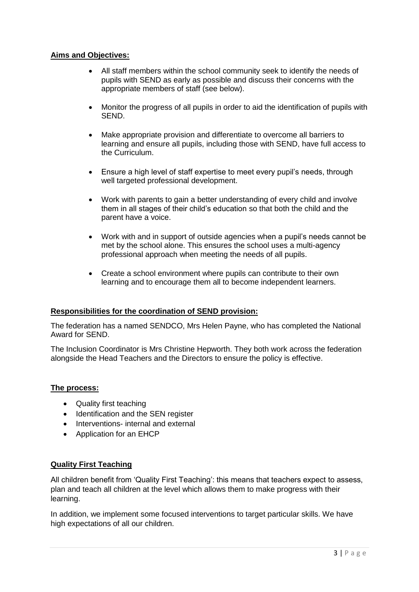#### **Aims and Objectives:**

- All staff members within the school community seek to identify the needs of pupils with SEND as early as possible and discuss their concerns with the appropriate members of staff (see below).
- Monitor the progress of all pupils in order to aid the identification of pupils with SEND.
- Make appropriate provision and differentiate to overcome all barriers to learning and ensure all pupils, including those with SEND, have full access to the Curriculum.
- Ensure a high level of staff expertise to meet every pupil's needs, through well targeted professional development.
- Work with parents to gain a better understanding of every child and involve them in all stages of their child's education so that both the child and the parent have a voice.
- Work with and in support of outside agencies when a pupil's needs cannot be met by the school alone. This ensures the school uses a multi-agency professional approach when meeting the needs of all pupils.
- Create a school environment where pupils can contribute to their own learning and to encourage them all to become independent learners.

#### **Responsibilities for the coordination of SEND provision:**

The federation has a named SENDCO, Mrs Helen Payne, who has completed the National Award for SEND.

The Inclusion Coordinator is Mrs Christine Hepworth. They both work across the federation alongside the Head Teachers and the Directors to ensure the policy is effective.

#### **The process:**

- Quality first teaching
- Identification and the SEN register
- Interventions- internal and external
- Application for an EHCP

#### **Quality First Teaching**

All children benefit from 'Quality First Teaching': this means that teachers expect to assess, plan and teach all children at the level which allows them to make progress with their learning.

In addition, we implement some focused interventions to target particular skills. We have high expectations of all our children.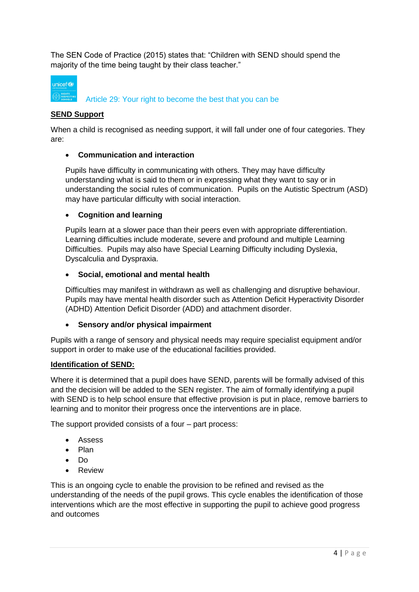The SEN Code of Practice (2015) states that: "Children with SEND should spend the majority of the time being taught by their class teacher."



#### **SEND Support**

When a child is recognised as needing support, it will fall under one of four categories. They are:

#### • **Communication and interaction**

Pupils have difficulty in communicating with others. They may have difficulty understanding what is said to them or in expressing what they want to say or in understanding the social rules of communication. Pupils on the Autistic Spectrum (ASD) may have particular difficulty with social interaction.

#### • **Cognition and learning**

Pupils learn at a slower pace than their peers even with appropriate differentiation. Learning difficulties include moderate, severe and profound and multiple Learning Difficulties. Pupils may also have Special Learning Difficulty including Dyslexia, Dyscalculia and Dyspraxia.

#### • **Social, emotional and mental health**

Difficulties may manifest in withdrawn as well as challenging and disruptive behaviour. Pupils may have mental health disorder such as Attention Deficit Hyperactivity Disorder (ADHD) Attention Deficit Disorder (ADD) and attachment disorder.

#### • **Sensory and/or physical impairment**

Pupils with a range of sensory and physical needs may require specialist equipment and/or support in order to make use of the educational facilities provided.

#### **Identification of SEND:**

Where it is determined that a pupil does have SEND, parents will be formally advised of this and the decision will be added to the SEN register. The aim of formally identifying a pupil with SEND is to help school ensure that effective provision is put in place, remove barriers to learning and to monitor their progress once the interventions are in place.

The support provided consists of a four – part process:

- Assess
- Plan
- Do
- Review

This is an ongoing cycle to enable the provision to be refined and revised as the understanding of the needs of the pupil grows. This cycle enables the identification of those interventions which are the most effective in supporting the pupil to achieve good progress and outcomes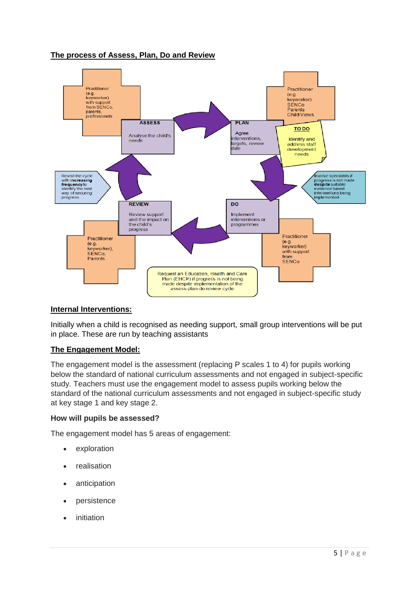#### **The process of Assess, Plan, Do and Review**



#### **Internal Interventions:**

Initially when a child is recognised as needing support, small group interventions will be put in place. These are run by teaching assistants

## **The Engagement Model:**

The engagement model is the assessment (replacing P scales 1 to 4) for pupils working below the standard of national curriculum assessments and not engaged in subject-specific study. Teachers must use the engagement model to assess pupils working below the standard of the national curriculum assessments and not engaged in subject-specific study at key stage 1 and key stage 2.

#### **How will pupils be assessed?**

The engagement model has 5 areas of engagement:

- exploration
- realisation
- anticipation
- persistence
- initiation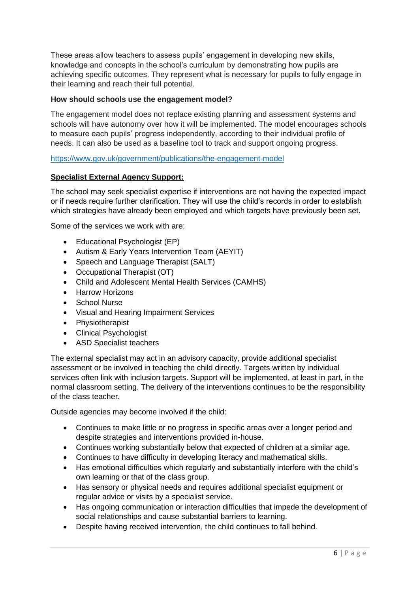These areas allow teachers to assess pupils' engagement in developing new skills, knowledge and concepts in the school's curriculum by demonstrating how pupils are achieving specific outcomes. They represent what is necessary for pupils to fully engage in their learning and reach their full potential.

#### **How should schools use the engagement model?**

The engagement model does not replace existing planning and assessment systems and schools will have autonomy over how it will be implemented. The model encourages schools to measure each pupils' progress independently, according to their individual profile of needs. It can also be used as a baseline tool to track and support ongoing progress.

<https://www.gov.uk/government/publications/the-engagement-model>

#### **Specialist External Agency Support:**

The school may seek specialist expertise if interventions are not having the expected impact or if needs require further clarification. They will use the child's records in order to establish which strategies have already been employed and which targets have previously been set.

Some of the services we work with are:

- Educational Psychologist (EP)
- Autism & Early Years Intervention Team (AEYIT)
- Speech and Language Therapist (SALT)
- Occupational Therapist (OT)
- Child and Adolescent Mental Health Services (CAMHS)
- Harrow Horizons
- School Nurse
- Visual and Hearing Impairment Services
- Physiotherapist
- Clinical Psychologist
- ASD Specialist teachers

The external specialist may act in an advisory capacity, provide additional specialist assessment or be involved in teaching the child directly. Targets written by individual services often link with inclusion targets. Support will be implemented, at least in part, in the normal classroom setting. The delivery of the interventions continues to be the responsibility of the class teacher.

Outside agencies may become involved if the child:

- Continues to make little or no progress in specific areas over a longer period and despite strategies and interventions provided in-house.
- Continues working substantially below that expected of children at a similar age.
- Continues to have difficulty in developing literacy and mathematical skills.
- Has emotional difficulties which regularly and substantially interfere with the child's own learning or that of the class group.
- Has sensory or physical needs and requires additional specialist equipment or regular advice or visits by a specialist service.
- Has ongoing communication or interaction difficulties that impede the development of social relationships and cause substantial barriers to learning.
- Despite having received intervention, the child continues to fall behind.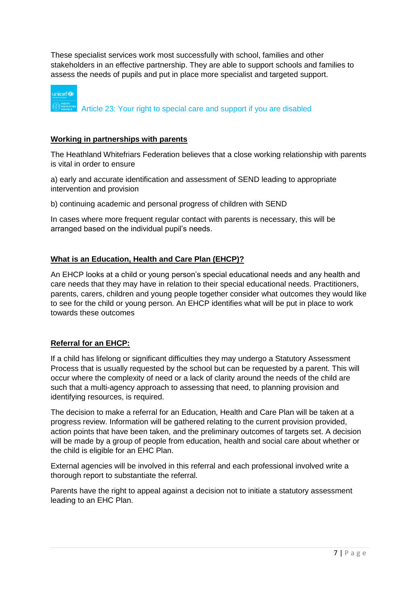These specialist services work most successfully with school, families and other stakeholders in an effective partnership. They are able to support schools and families to assess the needs of pupils and put in place more specialist and targeted support.

unicef<sup>®</sup> Article 23: Your right to special care and support if you are disabled

#### **Working in partnerships with parents**

The Heathland Whitefriars Federation believes that a close working relationship with parents is vital in order to ensure

a) early and accurate identification and assessment of SEND leading to appropriate intervention and provision

b) continuing academic and personal progress of children with SEND

In cases where more frequent regular contact with parents is necessary, this will be arranged based on the individual pupil's needs.

## **What is an Education, Health and Care Plan (EHCP)?**

An EHCP looks at a child or young person's special educational needs and any health and care needs that they may have in relation to their special educational needs. Practitioners, parents, carers, children and young people together consider what outcomes they would like to see for the child or young person. An EHCP identifies what will be put in place to work towards these outcomes

#### **Referral for an EHCP:**

If a child has lifelong or significant difficulties they may undergo a Statutory Assessment Process that is usually requested by the school but can be requested by a parent. This will occur where the complexity of need or a lack of clarity around the needs of the child are such that a multi-agency approach to assessing that need, to planning provision and identifying resources, is required.

The decision to make a referral for an Education, Health and Care Plan will be taken at a progress review. Information will be gathered relating to the current provision provided, action points that have been taken, and the preliminary outcomes of targets set. A decision will be made by a group of people from education, health and social care about whether or the child is eligible for an EHC Plan.

External agencies will be involved in this referral and each professional involved write a thorough report to substantiate the referral.

Parents have the right to appeal against a decision not to initiate a statutory assessment leading to an EHC Plan.